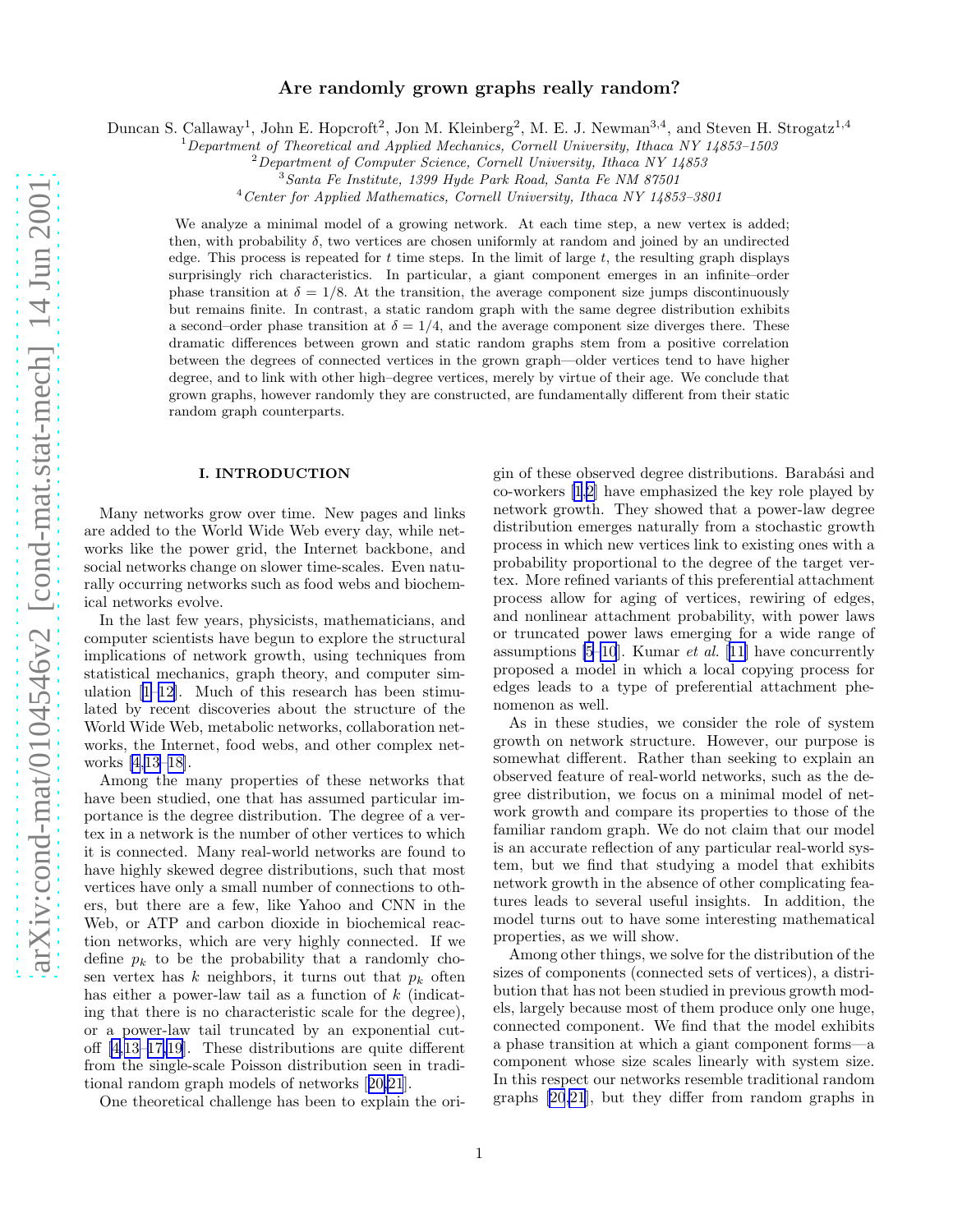# Are randomly grown graphs really random?

Duncan S. Callaway<sup>1</sup>, John E. Hopcroft<sup>2</sup>, Jon M. Kleinberg<sup>2</sup>, M. E. J. Newman<sup>3,4</sup>, and Steven H. Strogatz<sup>1,4</sup>

 $1$ Department of Theoretical and Applied Mechanics, Cornell University, Ithaca NY 14853-1503

 $2$ Department of Computer Science, Cornell University, Ithaca NY 14853

<sup>3</sup>Santa Fe Institute, 1399 Hyde Park Road, Santa Fe NM 87501

 $^{4}$ Center for Applied Mathematics, Cornell University, Ithaca NY 14853-3801

We analyze a minimal model of a growing network. At each time step, a new vertex is added; then, with probability  $\delta$ , two vertices are chosen uniformly at random and joined by an undirected edge. This process is repeated for  $t$  time steps. In the limit of large  $t$ , the resulting graph displays surprisingly rich characteristics. In particular, a giant component emerges in an infinite–order phase transition at  $\delta = 1/8$ . At the transition, the average component size jumps discontinuously but remains finite. In contrast, a static random graph with the same degree distribution exhibits a second–order phase transition at  $\delta = 1/4$ , and the average component size diverges there. These dramatic differences between grown and static random graphs stem from a positive correlation between the degrees of connected vertices in the grown graph—older vertices tend to have higher degree, and to link with other high–degree vertices, merely by virtue of their age. We conclude that grown graphs, however randomly they are constructed, are fundamentally different from their static random graph counterparts.

### I. INTRODUCTION

Many networks grow over time. New pages and links are added to the World Wide Web every day, while networks like the power grid, the Internet backbone, and social networks change on slower time-scales. Even naturally occurring networks such as food webs and biochemical networks evolve.

In the last few years, physicists, mathematicians, and computer scientists have begun to explore the structural implications of network growth, using techniques from statistical mechanics, graph theory, and computer simulation[[1–12\]](#page-6-0). Much of this research has been stimulated by recent discoveries about the structure of the World Wide Web, metabolic networks, collaboration networks, the Internet, food webs, and other complex networks [\[4](#page-6-0),[13–18\]](#page-6-0).

Among the many properties of these networks that have been studied, one that has assumed particular importance is the degree distribution. The degree of a vertex in a network is the number of other vertices to which it is connected. Many real-world networks are found to have highly skewed degree distributions, such that most vertices have only a small number of connections to others, but there are a few, like Yahoo and CNN in the Web, or ATP and carbon dioxide in biochemical reaction networks, which are very highly connected. If we define  $p_k$  to be the probability that a randomly chosen vertex has k neighbors, it turns out that  $p_k$  often has either a power-law tail as a function of k (indicating that there is no characteristic scale for the degree), or a power-law tail truncated by an exponential cutoff[[4,13–17,19](#page-6-0)]. These distributions are quite different from the single-scale Poisson distribution seen in traditional random graph models of networks[[20,21](#page-6-0)].

One theoretical challenge has been to explain the ori-

gin of these observed degree distributions. Barabási and co-workers [\[1](#page-6-0),[2\]](#page-6-0) have emphasized the key role played by network growth. They showed that a power-law degree distribution emerges naturally from a stochastic growth process in which new vertices link to existing ones with a probability proportional to the degree of the target vertex. More refined variants of this preferential attachment process allow for aging of vertices, rewiring of edges, and nonlinear attachment probability, with power laws or truncated power laws emerging for a wide range of assumptions  $[5-10]$ . Kumar *et al.* [[11\]](#page-6-0) have concurrently proposed a model in which a local copying process for edges leads to a type of preferential attachment phenomenon as well.

As in these studies, we consider the role of system growth on network structure. However, our purpose is somewhat different. Rather than seeking to explain an observed feature of real-world networks, such as the degree distribution, we focus on a minimal model of network growth and compare its properties to those of the familiar random graph. We do not claim that our model is an accurate reflection of any particular real-world system, but we find that studying a model that exhibits network growth in the absence of other complicating features leads to several useful insights. In addition, the model turns out to have some interesting mathematical properties, as we will show.

Among other things, we solve for the distribution of the sizes of components (connected sets of vertices), a distribution that has not been studied in previous growth models, largely because most of them produce only one huge, connected component. We find that the model exhibits a phase transition at which a giant component forms—a component whose size scales linearly with system size. In this respect our networks resemble traditional random graphs [\[20,21](#page-6-0)], but they differ from random graphs in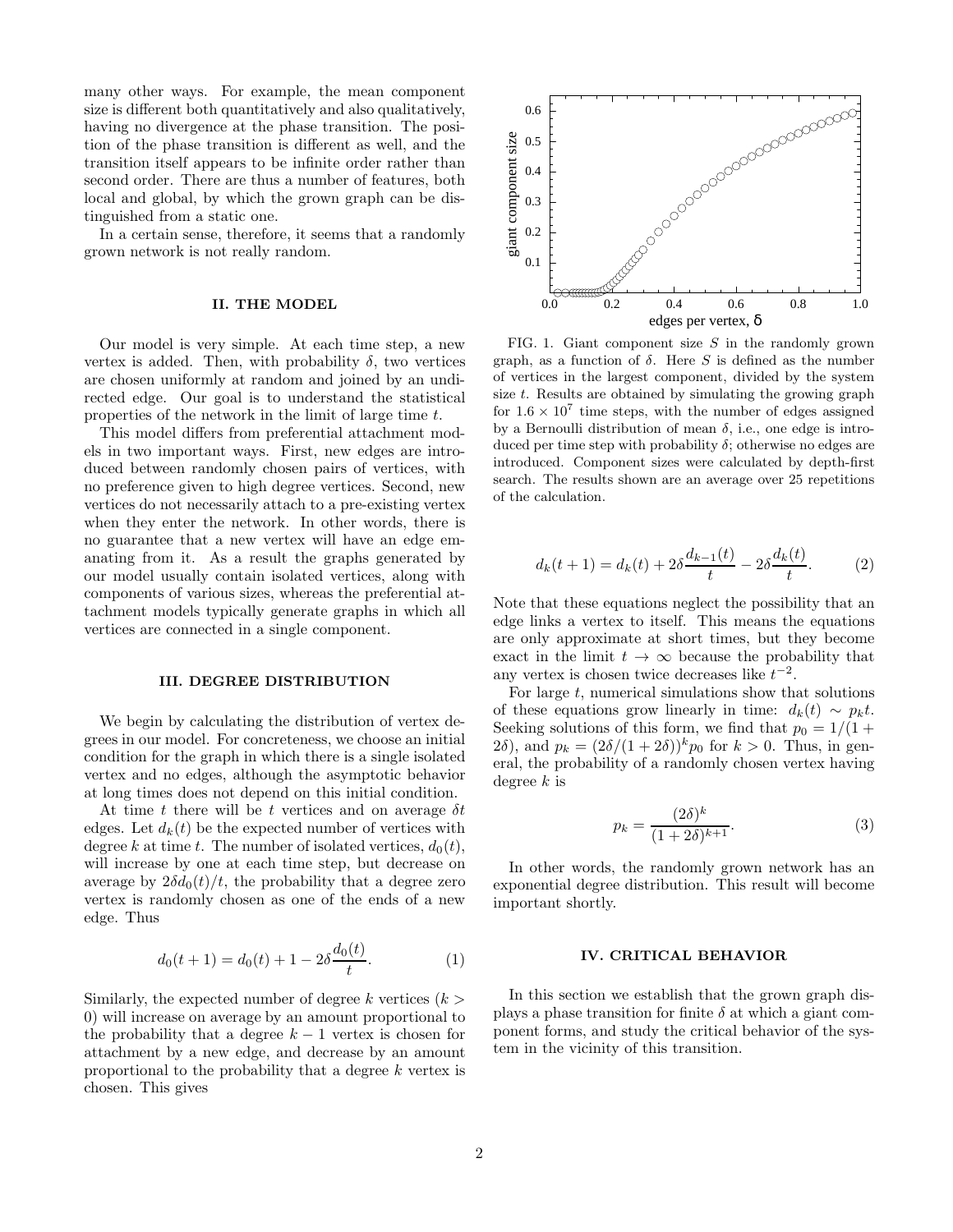<span id="page-1-0"></span>many other ways. For example, the mean component size is different both quantitatively and also qualitatively, having no divergence at the phase transition. The position of the phase transition is different as well, and the transition itself appears to be infinite order rather than second order. There are thus a number of features, both local and global, by which the grown graph can be distinguished from a static one.

In a certain sense, therefore, it seems that a randomly grown network is not really random.

## II. THE MODEL

Our model is very simple. At each time step, a new vertex is added. Then, with probability  $\delta$ , two vertices are chosen uniformly at random and joined by an undirected edge. Our goal is to understand the statistical properties of the network in the limit of large time t.

This model differs from preferential attachment models in two important ways. First, new edges are introduced between randomly chosen pairs of vertices, with no preference given to high degree vertices. Second, new vertices do not necessarily attach to a pre-existing vertex when they enter the network. In other words, there is no guarantee that a new vertex will have an edge emanating from it. As a result the graphs generated by our model usually contain isolated vertices, along with components of various sizes, whereas the preferential attachment models typically generate graphs in which all vertices are connected in a single component.

#### III. DEGREE DISTRIBUTION

We begin by calculating the distribution of vertex degrees in our model. For concreteness, we choose an initial condition for the graph in which there is a single isolated vertex and no edges, although the asymptotic behavior at long times does not depend on this initial condition.

At time t there will be t vertices and on average  $\delta t$ edges. Let  $d_k(t)$  be the expected number of vertices with degree k at time t. The number of isolated vertices,  $d_0(t)$ , will increase by one at each time step, but decrease on average by  $2\delta d_0(t)/t$ , the probability that a degree zero vertex is randomly chosen as one of the ends of a new edge. Thus

$$
d_0(t+1) = d_0(t) + 1 - 2\delta \frac{d_0(t)}{t}.
$$
 (1)

Similarly, the expected number of degree k vertices  $(k >$ 0) will increase on average by an amount proportional to the probability that a degree  $k - 1$  vertex is chosen for attachment by a new edge, and decrease by an amount proportional to the probability that a degree k vertex is chosen. This gives



FIG. 1. Giant component size  $S$  in the randomly grown graph, as a function of  $\delta$ . Here S is defined as the number of vertices in the largest component, divided by the system size  $t$ . Results are obtained by simulating the growing graph for  $1.6 \times 10^7$  time steps, with the number of edges assigned by a Bernoulli distribution of mean  $\delta$ , i.e., one edge is introduced per time step with probability  $\delta$ ; otherwise no edges are introduced. Component sizes were calculated by depth-first search. The results shown are an average over 25 repetitions of the calculation.

$$
d_k(t+1) = d_k(t) + 2\delta \frac{d_{k-1}(t)}{t} - 2\delta \frac{d_k(t)}{t}.
$$
 (2)

Note that these equations neglect the possibility that an edge links a vertex to itself. This means the equations are only approximate at short times, but they become exact in the limit  $t \to \infty$  because the probability that any vertex is chosen twice decreases like  $t^{-2}$ .

For large  $t$ , numerical simulations show that solutions of these equations grow linearly in time:  $d_k(t) \sim p_k t$ . Seeking solutions of this form, we find that  $p_0 = 1/(1 +$ 2δ), and  $p_k = (2\delta/(1+2\delta))^k p_0$  for  $k > 0$ . Thus, in general, the probability of a randomly chosen vertex having degree  $k$  is

$$
p_k = \frac{(2\delta)^k}{(1+2\delta)^{k+1}}.\tag{3}
$$

In other words, the randomly grown network has an exponential degree distribution. This result will become important shortly.

#### IV. CRITICAL BEHAVIOR

In this section we establish that the grown graph displays a phase transition for finite  $\delta$  at which a giant component forms, and study the critical behavior of the system in the vicinity of this transition.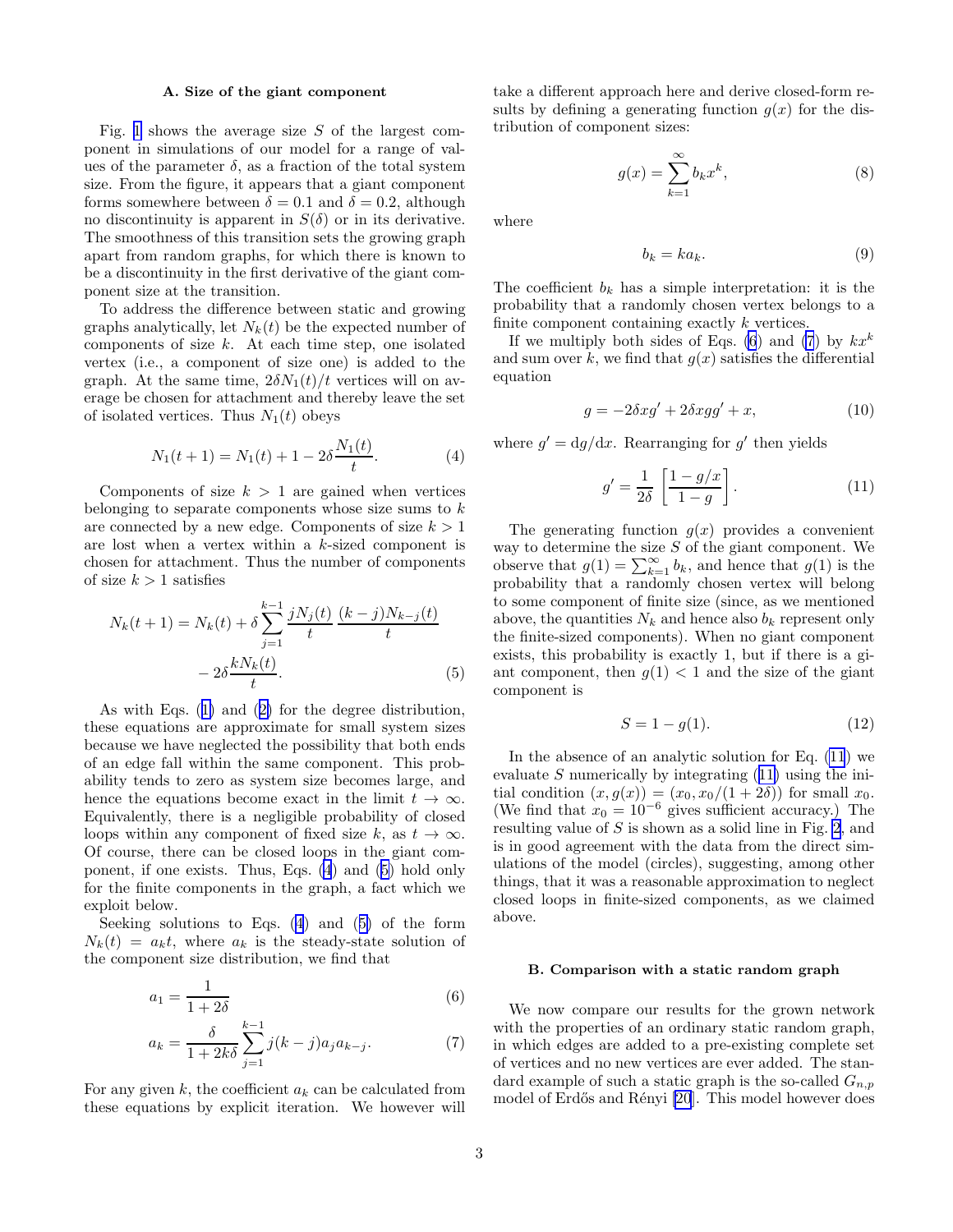#### A. Size of the giant component

<span id="page-2-0"></span>Fig. [1](#page-1-0) shows the average size  $S$  of the largest component in simulations of our model for a range of values of the parameter  $\delta$ , as a fraction of the total system size. From the figure, it appears that a giant component forms somewhere between  $\delta = 0.1$  and  $\delta = 0.2$ , although no discontinuity is apparent in  $S(\delta)$  or in its derivative. The smoothness of this transition sets the growing graph apart from random graphs, for which there is known to be a discontinuity in the first derivative of the giant component size at the transition.

To address the difference between static and growing graphs analytically, let  $N_k(t)$  be the expected number of components of size  $k$ . At each time step, one isolated vertex (i.e., a component of size one) is added to the graph. At the same time,  $2\delta N_1(t)/t$  vertices will on average be chosen for attachment and thereby leave the set of isolated vertices. Thus  $N_1(t)$  obeys

$$
N_1(t+1) = N_1(t) + 1 - 2\delta \frac{N_1(t)}{t}.
$$
 (4)

Components of size  $k > 1$  are gained when vertices belonging to separate components whose size sums to  $k$ are connected by a new edge. Components of size  $k > 1$ are lost when a vertex within a k-sized component is chosen for attachment. Thus the number of components of size  $k > 1$  satisfies

$$
N_k(t+1) = N_k(t) + \delta \sum_{j=1}^{k-1} \frac{jN_j(t)}{t} \frac{(k-j)N_{k-j}(t)}{t}
$$

$$
-2\delta \frac{kN_k(t)}{t}.
$$
 (5)

As with Eqs.([1\)](#page-1-0) and([2\)](#page-1-0) for the degree distribution, these equations are approximate for small system sizes because we have neglected the possibility that both ends of an edge fall within the same component. This probability tends to zero as system size becomes large, and hence the equations become exact in the limit  $t \to \infty$ . Equivalently, there is a negligible probability of closed loops within any component of fixed size k, as  $t \to \infty$ . Of course, there can be closed loops in the giant component, if one exists. Thus, Eqs. (4) and (5) hold only for the finite components in the graph, a fact which we exploit below.

Seeking solutions to Eqs. (4) and (5) of the form  $N_k(t) = a_k t$ , where  $a_k$  is the steady-state solution of the component size distribution, we find that

$$
a_1 = \frac{1}{1+2\delta} \tag{6}
$$

$$
a_k = \frac{\delta}{1 + 2k\delta} \sum_{j=1}^{k-1} j(k-j)a_j a_{k-j}.
$$
 (7)

For any given  $k$ , the coefficient  $a_k$  can be calculated from these equations by explicit iteration. We however will

take a different approach here and derive closed-form results by defining a generating function  $g(x)$  for the distribution of component sizes:

$$
g(x) = \sum_{k=1}^{\infty} b_k x^k,
$$
 (8)

where

$$
b_k = ka_k. \t\t(9)
$$

The coefficient  $b_k$  has a simple interpretation: it is the probability that a randomly chosen vertex belongs to a finite component containing exactly k vertices.

If we multiply both sides of Eqs. (6) and (7) by  $kx^k$ and sum over k, we find that  $g(x)$  satisfies the differential equation

$$
g = -2\delta x g' + 2\delta x g g' + x,\tag{10}
$$

where  $g' = dg/dx$ . Rearranging for g' then yields

$$
g' = \frac{1}{2\delta} \left[ \frac{1 - g/x}{1 - g} \right].
$$
\n(11)

The generating function  $g(x)$  provides a convenient way to determine the size  $S$  of the giant component. We observe that  $g(1) = \sum_{k=1}^{\infty} b_k$ , and hence that  $g(1)$  is the probability that a randomly chosen vertex will belong to some component of finite size (since, as we mentioned above, the quantities  $N_k$  and hence also  $b_k$  represent only the finite-sized components). When no giant component exists, this probability is exactly 1, but if there is a giant component, then  $q(1) < 1$  and the size of the giant component is

$$
S = 1 - g(1).
$$
 (12)

In the absence of an analytic solution for Eq. (11) we evaluate S numerically by integrating  $(11)$  using the initial condition  $(x, g(x)) = (x_0, x_0/(1+2\delta))$  for small  $x_0$ . (We find that  $x_0 = 10^{-6}$  gives sufficient accuracy.) The resulting value of  $S$  is shown as a solid line in Fig. [2](#page-3-0), and is in good agreement with the data from the direct simulations of the model (circles), suggesting, among other things, that it was a reasonable approximation to neglect closed loops in finite-sized components, as we claimed above.

### B. Comparison with a static random graph

We now compare our results for the grown network with the properties of an ordinary static random graph, in which edges are added to a pre-existing complete set of vertices and no new vertices are ever added. The standard example of such a static graph is the so-called  $G_{n,p}$ model of Erdős and Rényi [\[20](#page-6-0)]. This model however does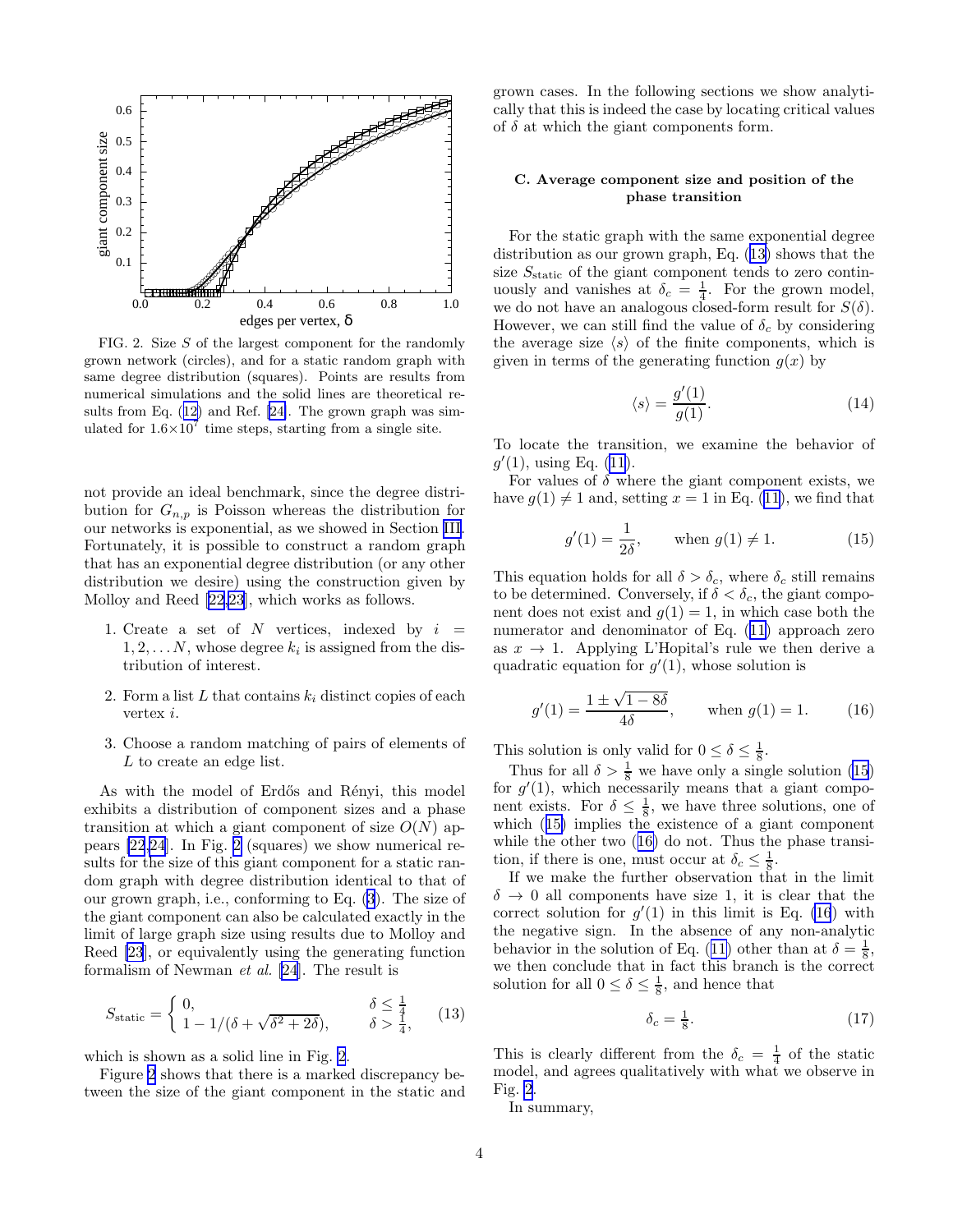<span id="page-3-0"></span>

FIG. 2. Size  $S$  of the largest component for the randomly grown network (circles), and for a static random graph with same degree distribution (squares). Points are results from numerical simulations and the solid lines are theoretical results from Eq.([12\)](#page-2-0) and Ref. [\[24\]](#page-6-0). The grown graph was simulated for  $1.6 \times 10^7$  time steps, starting from a single site.

not provide an ideal benchmark, since the degree distribution for  $G_{n,p}$  is Poisson whereas the distribution for our networks is exponential, as we showed in Section [III](#page-1-0). Fortunately, it is possible to construct a random graph that has an exponential degree distribution (or any other distribution we desire) using the construction given by Molloy and Reed [\[22](#page-6-0),[23](#page-6-0)], which works as follows.

- 1. Create a set of N vertices, indexed by  $i =$  $1, 2, \ldots N$ , whose degree  $k_i$  is assigned from the distribution of interest.
- 2. Form a list L that contains  $k_i$  distinct copies of each vertex i.
- 3. Choose a random matching of pairs of elements of L to create an edge list.

As with the model of Erdős and Rényi, this model exhibits a distribution of component sizes and a phase transition at which a giant component of size  $O(N)$  appears [\[22,24](#page-6-0)]. In Fig. 2 (squares) we show numerical results for the size of this giant component for a static random graph with degree distribution identical to that of our grown graph, i.e., conforming to Eq. [\(3](#page-1-0)). The size of the giant component can also be calculated exactly in the limit of large graph size using results due to Molloy and Reed [\[23](#page-6-0)], or equivalently using the generating function formalism of Newman et al. [\[24](#page-6-0)]. The result is

$$
S_{\text{static}} = \begin{cases} 0, & \delta \le \frac{1}{4} \\ 1 - 1/(\delta + \sqrt{\delta^2 + 2\delta}), & \delta > \frac{1}{4}, \end{cases} (13)
$$

which is shown as a solid line in Fig. 2.

Figure 2 shows that there is a marked discrepancy between the size of the giant component in the static and grown cases. In the following sections we show analytically that this is indeed the case by locating critical values of  $\delta$  at which the giant components form.

## C. Average component size and position of the phase transition

For the static graph with the same exponential degree distribution as our grown graph, Eq. (13) shows that the size  $S_{\text{static}}$  of the giant component tends to zero continuously and vanishes at  $\delta_c = \frac{1}{4}$ . For the grown model, we do not have an analogous closed-form result for  $S(\delta)$ . However, we can still find the value of  $\delta_c$  by considering the average size  $\langle s \rangle$  of the finite components, which is given in terms of the generating function  $g(x)$  by

$$
\langle s \rangle = \frac{g'(1)}{g(1)}.\tag{14}
$$

To locate the transition, we examine the behavior of  $g'(1)$ ,using Eq. ([11\)](#page-2-0).

For values of  $\delta$  where the giant component exists, we have  $q(1) \neq 1$  and, setting  $x = 1$  in Eq. [\(11](#page-2-0)), we find that

$$
g'(1) = \frac{1}{2\delta}
$$
, when  $g(1) \neq 1$ . (15)

This equation holds for all  $\delta > \delta_c$ , where  $\delta_c$  still remains to be determined. Conversely, if  $\delta < \delta_c$ , the giant component does not exist and  $g(1) = 1$ , in which case both the numerator and denominator of Eq.([11\)](#page-2-0) approach zero as  $x \to 1$ . Applying L'Hopital's rule we then derive a quadratic equation for  $g'(1)$ , whose solution is

$$
g'(1) = \frac{1 \pm \sqrt{1 - 8\delta}}{4\delta}, \quad \text{when } g(1) = 1.
$$
 (16)

This solution is only valid for  $0 \leq \delta \leq \frac{1}{8}$ .

Thus for all  $\delta > \frac{1}{8}$  we have only a single solution (15) for  $g'(1)$ , which necessarily means that a giant component exists. For  $\delta \leq \frac{1}{8}$ , we have three solutions, one of which (15) implies the existence of a giant component while the other two (16) do not. Thus the phase transition, if there is one, must occur at  $\delta_c \leq \frac{1}{8}$ .

If we make the further observation that in the limit  $\delta \rightarrow 0$  all components have size 1, it is clear that the correct solution for  $g'(1)$  in this limit is Eq. (16) with the negative sign. In the absence of any non-analytic behaviorin the solution of Eq. ([11\)](#page-2-0) other than at  $\delta = \frac{1}{8}$ , we then conclude that in fact this branch is the correct solution for all  $0 \leq \delta \leq \frac{1}{8}$ , and hence that

$$
\delta_c = \frac{1}{8}.\tag{17}
$$

This is clearly different from the  $\delta_c = \frac{1}{4}$  of the static model, and agrees qualitatively with what we observe in Fig. 2.

In summary,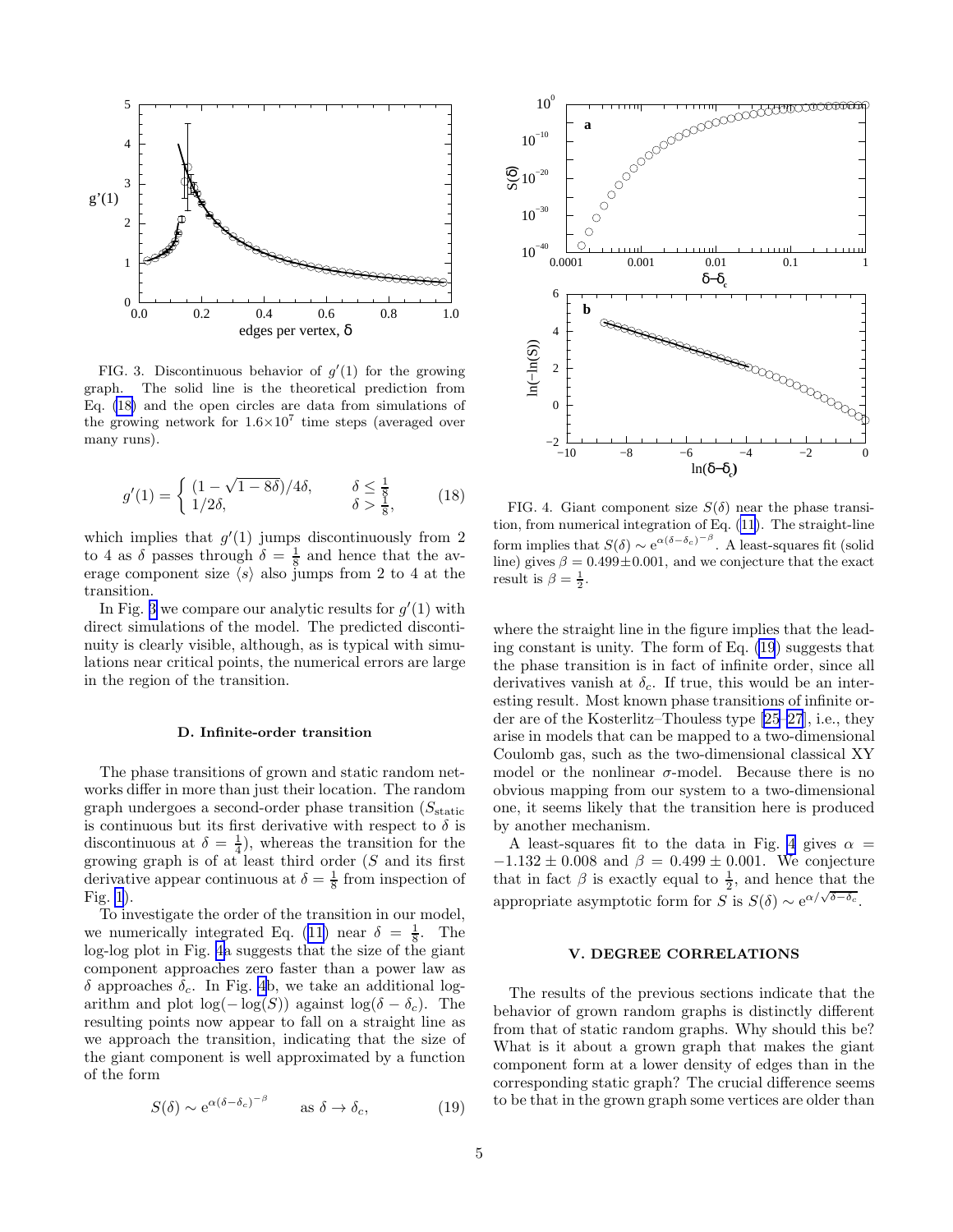

FIG. 3. Discontinuous behavior of  $g'(1)$  for the growing graph. The solid line is the theoretical prediction from Eq. (18) and the open circles are data from simulations of the growing network for  $1.6 \times 10^7$  time steps (averaged over many runs).

$$
g'(1) = \begin{cases} (1 - \sqrt{1 - 8\delta})/4\delta, & \delta \le \frac{1}{8} \\ 1/2\delta, & \delta > \frac{1}{8}, \end{cases}
$$
(18)

which implies that  $g'(1)$  jumps discontinuously from 2 to 4 as  $\delta$  passes through  $\delta = \frac{1}{8}$  and hence that the average component size  $\langle s \rangle$  also jumps from 2 to 4 at the transition.

In Fig. 3 we compare our analytic results for  $g'(1)$  with direct simulations of the model. The predicted discontinuity is clearly visible, although, as is typical with simulations near critical points, the numerical errors are large in the region of the transition.

#### D. Infinite-order transition

The phase transitions of grown and static random networks differ in more than just their location. The random graph undergoes a second-order phase transition  $(S_{\text{static}})$ is continuous but its first derivative with respect to  $\delta$  is discontinuous at  $\delta = \frac{1}{4}$ , whereas the transition for the growing graph is of at least third order (S and its first derivative appear continuous at  $\delta = \frac{1}{8}$  from inspection of Fig. [1](#page-1-0)).

To investigate the order of the transition in our model, wenumerically integrated Eq. ([11\)](#page-2-0) near  $\delta = \frac{1}{8}$ . The log-log plot in Fig. 4a suggests that the size of the giant component approaches zero faster than a power law as δ approaches δ<sub>c</sub>. In Fig. 4b, we take an additional logarithm and plot  $log(-log(S))$  against  $log(δ – δ<sub>c</sub>)$ . The resulting points now appear to fall on a straight line as we approach the transition, indicating that the size of the giant component is well approximated by a function of the form

$$
S(\delta) \sim e^{\alpha(\delta - \delta_c)^{-\beta}} \qquad \text{as } \delta \to \delta_c,
$$
 (19)



FIG. 4. Giant component size  $S(\delta)$  near the phase transition, from numerical integration of Eq. [\(11](#page-2-0)). The straight-line form implies that  $S(\delta) \sim e^{\alpha(\delta - \delta_c)^{-\beta}}$ . A least-squares fit (solid line) gives  $\beta = 0.499 \pm 0.001$ , and we conjecture that the exact result is  $\beta = \frac{1}{2}$ .

where the straight line in the figure implies that the leading constant is unity. The form of Eq. (19) suggests that the phase transition is in fact of infinite order, since all derivatives vanish at  $\delta_c$ . If true, this would be an interesting result. Most known phase transitions of infinite order are of the Kosterlitz–Thouless type [\[25–27](#page-7-0)], i.e., they arise in models that can be mapped to a two-dimensional Coulomb gas, such as the two-dimensional classical XY model or the nonlinear  $\sigma$ -model. Because there is no obvious mapping from our system to a two-dimensional one, it seems likely that the transition here is produced by another mechanism.

A least-squares fit to the data in Fig. 4 gives  $\alpha =$  $-1.132 \pm 0.008$  and  $\beta = 0.499 \pm 0.001$ . We conjecture that in fact  $\beta$  is exactly equal to  $\frac{1}{2}$ , and hence that the appropriate asymptotic form for S is  $S(\delta) \sim e^{\alpha/\sqrt{\delta - \delta_c}}$ .

### V. DEGREE CORRELATIONS

The results of the previous sections indicate that the behavior of grown random graphs is distinctly different from that of static random graphs. Why should this be? What is it about a grown graph that makes the giant component form at a lower density of edges than in the corresponding static graph? The crucial difference seems to be that in the grown graph some vertices are older than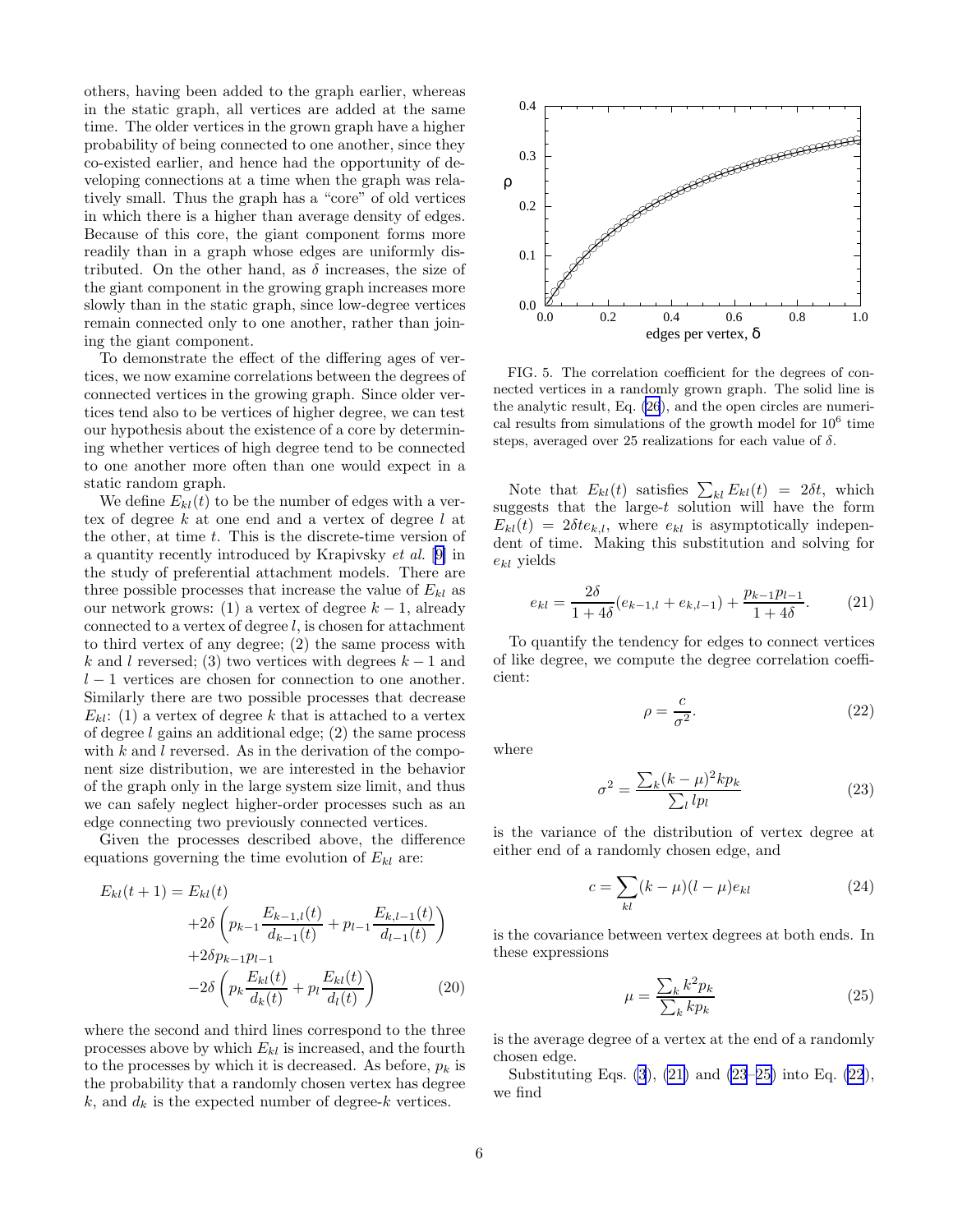<span id="page-5-0"></span>others, having been added to the graph earlier, whereas in the static graph, all vertices are added at the same time. The older vertices in the grown graph have a higher probability of being connected to one another, since they co-existed earlier, and hence had the opportunity of developing connections at a time when the graph was relatively small. Thus the graph has a "core" of old vertices in which there is a higher than average density of edges. Because of this core, the giant component forms more readily than in a graph whose edges are uniformly distributed. On the other hand, as  $\delta$  increases, the size of the giant component in the growing graph increases more slowly than in the static graph, since low-degree vertices remain connected only to one another, rather than joining the giant component.

To demonstrate the effect of the differing ages of vertices, we now examine correlations between the degrees of connected vertices in the growing graph. Since older vertices tend also to be vertices of higher degree, we can test our hypothesis about the existence of a core by determining whether vertices of high degree tend to be connected to one another more often than one would expect in a static random graph.

We define  $E_{kl}(t)$  to be the number of edges with a vertex of degree  $k$  at one end and a vertex of degree  $l$  at the other, at time  $t$ . This is the discrete-time version of a quantity recently introduced by Krapivsky et al. [[9\]](#page-6-0) in the study of preferential attachment models. There are three possible processes that increase the value of  $E_{kl}$  as our network grows: (1) a vertex of degree  $k-1$ , already connected to a vertex of degree l, is chosen for attachment to third vertex of any degree; (2) the same process with k and l reversed; (3) two vertices with degrees  $k-1$  and  $l-1$  vertices are chosen for connection to one another. Similarly there are two possible processes that decrease  $E_{kl}$ : (1) a vertex of degree k that is attached to a vertex of degree  $l$  gains an additional edge;  $(2)$  the same process with  $k$  and  $l$  reversed. As in the derivation of the component size distribution, we are interested in the behavior of the graph only in the large system size limit, and thus we can safely neglect higher-order processes such as an edge connecting two previously connected vertices.

Given the processes described above, the difference equations governing the time evolution of  $E_{kl}$  are:

$$
E_{kl}(t+1) = E_{kl}(t) + 2\delta \left( p_{k-1} \frac{E_{k-1,l}(t)}{d_{k-1}(t)} + p_{l-1} \frac{E_{k,l-1}(t)}{d_{l-1}(t)} \right) + 2\delta p_{k-1} p_{l-1} - 2\delta \left( p_k \frac{E_{kl}(t)}{d_k(t)} + p_l \frac{E_{kl}(t)}{d_l(t)} \right) \tag{20}
$$

where the second and third lines correspond to the three processes above by which  $E_{kl}$  is increased, and the fourth to the processes by which it is decreased. As before,  $p_k$  is the probability that a randomly chosen vertex has degree  $k$ , and  $d_k$  is the expected number of degree- $k$  vertices.



FIG. 5. The correlation coefficient for the degrees of connected vertices in a randomly grown graph. The solid line is the analytic result, Eq. [\(26](#page-6-0)), and the open circles are numerical results from simulations of the growth model for  $10^6$  time steps, averaged over 25 realizations for each value of  $\delta$ .

Note that  $E_{kl}(t)$  satisfies  $\sum_{kl} E_{kl}(t) = 2\delta t$ , which suggests that the large- $t$  solution will have the form  $E_{kl}(t) = 2\delta t e_{k,l}$ , where  $e_{kl}$  is asymptotically independent of time. Making this substitution and solving for  $e_{kl}$  yields

$$
e_{kl} = \frac{2\delta}{1+4\delta}(e_{k-1,l} + e_{k,l-1}) + \frac{p_{k-1}p_{l-1}}{1+4\delta}.
$$
 (21)

To quantify the tendency for edges to connect vertices of like degree, we compute the degree correlation coefficient:

$$
\rho = \frac{c}{\sigma^2}.\tag{22}
$$

where

$$
\sigma^2 = \frac{\sum_k (k - \mu)^2 k p_k}{\sum_l l p_l} \tag{23}
$$

is the variance of the distribution of vertex degree at either end of a randomly chosen edge, and

$$
c = \sum_{kl} (k - \mu)(l - \mu)e_{kl} \tag{24}
$$

is the covariance between vertex degrees at both ends. In these expressions

$$
\mu = \frac{\sum_{k} k^2 p_k}{\sum_{k} k p_k} \tag{25}
$$

is the average degree of a vertex at the end of a randomly chosen edge.

Substituting Eqs. [\(3](#page-1-0)), (21) and (23–25) into Eq. (22), we find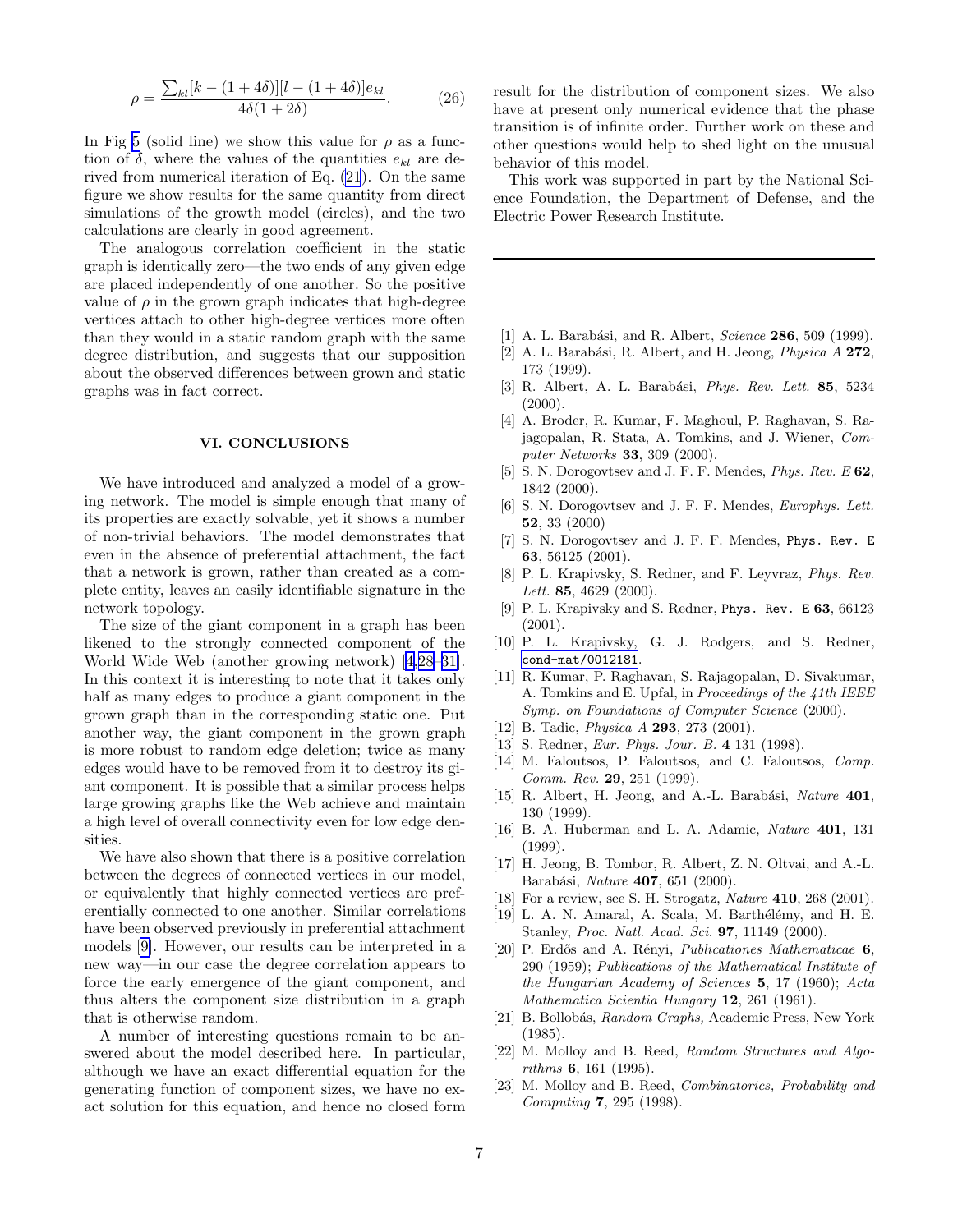<span id="page-6-0"></span>
$$
\rho = \frac{\sum_{kl} [k - (1 + 4\delta)] [l - (1 + 4\delta)] e_{kl}}{4\delta(1 + 2\delta)}.
$$
 (26)

In Fig [5](#page-5-0) (solid line) we show this value for  $\rho$  as a function of  $\delta$ , where the values of the quantities  $e_{kl}$  are derived from numerical iteration of Eq. [\(21](#page-5-0)). On the same figure we show results for the same quantity from direct simulations of the growth model (circles), and the two calculations are clearly in good agreement.

The analogous correlation coefficient in the static graph is identically zero—the two ends of any given edge are placed independently of one another. So the positive value of  $\rho$  in the grown graph indicates that high-degree vertices attach to other high-degree vertices more often than they would in a static random graph with the same degree distribution, and suggests that our supposition about the observed differences between grown and static graphs was in fact correct.

## VI. CONCLUSIONS

We have introduced and analyzed a model of a growing network. The model is simple enough that many of its properties are exactly solvable, yet it shows a number of non-trivial behaviors. The model demonstrates that even in the absence of preferential attachment, the fact that a network is grown, rather than created as a complete entity, leaves an easily identifiable signature in the network topology.

The size of the giant component in a graph has been likened to the strongly connected component of the World Wide Web (another growing network) [4,[28–31\]](#page-7-0). In this context it is interesting to note that it takes only half as many edges to produce a giant component in the grown graph than in the corresponding static one. Put another way, the giant component in the grown graph is more robust to random edge deletion; twice as many edges would have to be removed from it to destroy its giant component. It is possible that a similar process helps large growing graphs like the Web achieve and maintain a high level of overall connectivity even for low edge densities.

We have also shown that there is a positive correlation between the degrees of connected vertices in our model, or equivalently that highly connected vertices are preferentially connected to one another. Similar correlations have been observed previously in preferential attachment models [9]. However, our results can be interpreted in a new way—in our case the degree correlation appears to force the early emergence of the giant component, and thus alters the component size distribution in a graph that is otherwise random.

A number of interesting questions remain to be answered about the model described here. In particular, although we have an exact differential equation for the generating function of component sizes, we have no exact solution for this equation, and hence no closed form result for the distribution of component sizes. We also have at present only numerical evidence that the phase transition is of infinite order. Further work on these and other questions would help to shed light on the unusual behavior of this model.

This work was supported in part by the National Science Foundation, the Department of Defense, and the Electric Power Research Institute.

- [1] A. L. Barabási, and R. Albert, *Science* **286**, 509 (1999).
- [2] A. L. Barabási, R. Albert, and H. Jeong, *Physica A* 272, 173 (1999).
- [3] R. Albert, A. L. Barabási, Phys. Rev. Lett. 85, 5234 (2000).
- [4] A. Broder, R. Kumar, F. Maghoul, P. Raghavan, S. Rajagopalan, R. Stata, A. Tomkins, and J. Wiener, Computer Networks 33, 309 (2000).
- [5] S. N. Dorogovtsev and J. F. F. Mendes, *Phys. Rev. E* 62, 1842 (2000).
- [6] S. N. Dorogovtsev and J. F. F. Mendes, Europhys. Lett. 52, 33 (2000)
- [7] S. N. Dorogovtsev and J. F. F. Mendes, Phys. Rev. E 63, 56125 (2001).
- [8] P. L. Krapivsky, S. Redner, and F. Leyvraz, Phys. Rev. Lett. **85**, 4629 (2000).
- [9] P. L. Krapivsky and S. Redner, Phys. Rev. E 63, 66123 (2001).
- [10] P. L. Krapivsky, G. J. Rodgers, and S. Redner, [cond-mat/0012181](http://arxiv.org/abs/cond-mat/0012181).
- [11] R. Kumar, P. Raghavan, S. Rajagopalan, D. Sivakumar, A. Tomkins and E. Upfal, in Proceedings of the 41th IEEE Symp. on Foundations of Computer Science (2000).
- [12] B. Tadic, *Physica A* **293**, 273 (2001).
- [13] S. Redner, *Eur. Phys. Jour. B.* 4 131 (1998).
- [14] M. Faloutsos, P. Faloutsos, and C. Faloutsos, Comp. Comm. Rev. 29, 251 (1999).
- [15] R. Albert, H. Jeong, and A.-L. Barabási, Nature 401, 130 (1999).
- [16] B. A. Huberman and L. A. Adamic, Nature 401, 131 (1999).
- [17] H. Jeong, B. Tombor, R. Albert, Z. N. Oltvai, and A.-L. Barabási, Nature 407, 651 (2000).
- [18] For a review, see S. H. Strogatz, *Nature* **410**, 268 (2001).
- [19] L. A. N. Amaral, A. Scala, M. Barthélémy, and H. E. Stanley, Proc. Natl. Acad. Sci. 97, 11149 (2000).
- [20] P. Erdős and A. Rényi, Publicationes Mathematicae 6, 290 (1959); Publications of the Mathematical Institute of the Hungarian Academy of Sciences 5, 17 (1960); Acta Mathematica Scientia Hungary 12, 261 (1961).
- [21] B. Bollobás, Random Graphs, Academic Press, New York (1985).
- [22] M. Molloy and B. Reed, Random Structures and Algorithms 6, 161 (1995).
- [23] M. Molloy and B. Reed, *Combinatorics*, *Probability and* Computing 7, 295 (1998).